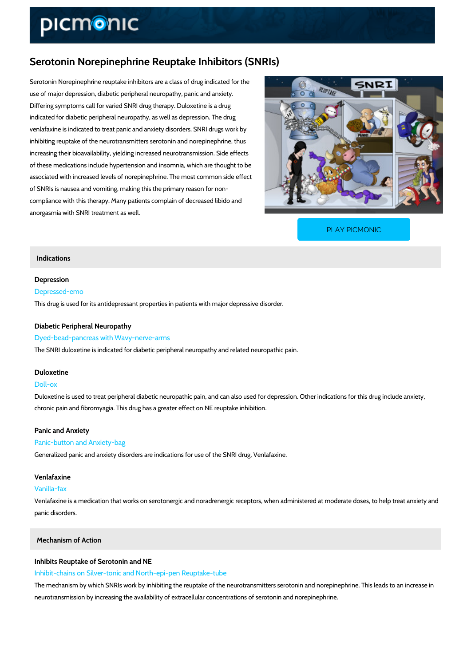# Serotonin Norepinephrine Reuptake Inhibitors (SNRIs)

Serotonin Norepinephrine reuptake inhibitors are a class of drug indicated for the use of major depression, diabetic peripheral neuropathy, panic and anxiety. Differing symptoms call for varied SNRI drug therapy. Duloxetine is a drug indicated for diabetic peripheral neuropathy, as well as depression. The drug venlafaxine is indicated to treat panic and anxiety disorders. SNRI drugs work by inhibiting reuptake of the neurotransmitters serotonin and norepinephrine, thus increasing their bioavailability, yielding increased neurotransmission. Side effects of these medications include hypertension and insomnia, which are thought to be associated with increased levels of norepinephrine. The most common side effect of SNRIs is nausea and vomiting, making this the primary reason for non compliance with this therapy. Many patients complain of decreased libido and anorgasmia with SNRI treatment as well.

[PLAY PICMONIC](https://www.picmonic.com/learn/serotonin-norepinephrine-reuptake-inhibitors-snris_1136?utm_source=downloadable_content&utm_medium=distributedcontent&utm_campaign=pathways_pdf&utm_content=Serotonin Norepinephrine Reuptake Inhibitors (SNRIs)&utm_ad_group=leads&utm_market=all)

# Indications

## Depression

## Depressed-emo

This drug is used for its antidepressant properties in patients with major depressive disorder.

# Diabetic Peripheral Neuropathy

### Dyed-bead-pancreas with Wavy-nerve-arms

The SNRI duloxetine is indicated for diabetic peripheral neuropathy and related neuropathic p

#### Duloxetine

## Doll-ox

Duloxetine is used to treat peripheral diabetic neuropathic pain, and can also used for depres chronic pain and fibromyagia. This drug has a greater effect on NE reuptake inhibition.

#### Panic and Anxiety

## Panic-button and Anxiety-bag

Generalized panic and anxiety disorders are indications for use of the SNRI drug, Venlafaxine.

#### Venlafaxine

# Vanilla-fax

Venlafaxine is a medication that works on serotonergic and noradrenergic receptors, when adr panic disorders.

# Mechanism of Action

## Inhibits Reuptake of Serotonin and NE

Inhibit-chains on Silver-tonic and North-epi-pen Reuptake-tube

The mechanism by which SNRIs work by inhibiting the reuptake of the neurotransmitters serot neurotransmission by increasing the availability of extracellular concentrations of serotonin a